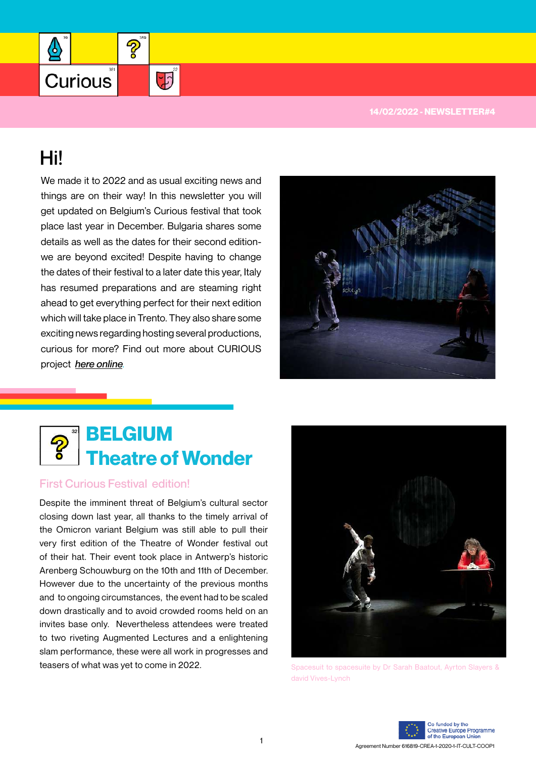

## Hi!

╩

Curious

We made it to 2022 and as usual exciting news and things are on their way! In this newsletter you will get updated on Belgium's Curious festival that took place last year in December. Bulgaria shares some details as well as the dates for their second editionwe are beyond excited! Despite having to change the dates of their festival to a later date this year, Italy has resumed preparations and are steaming right ahead to get everything perfect for their next edition which will take place in Trento. They also share some exciting news regarding hosting several productions, curious for more? Find out more about CURIOUS project *[here online](http://www.projectcurious.eu)*.

2

 $\frac{1}{2}$ 





## First Curious Festival edition!

Despite the imminent threat of Belgium's cultural sector closing down last year, all thanks to the timely arrival of the Omicron variant Belgium was still able to pull their very first edition of the Theatre of Wonder festival out of their hat. Their event took place in Antwerp's historic Arenberg Schouwburg on the 10th and 11th of December. However due to the uncertainty of the previous months and to ongoing circumstances, the event had to be scaled down drastically and to avoid crowded rooms held on an invites base only. Nevertheless attendees were treated to two riveting Augmented Lectures and a enlightening slam performance, these were all work in progresses and teasers of what was yet to come in 2022.



Spacesuit to spacesuite by Dr Sarah Baatout, Ayrton Slayers & david Vives-Lynch

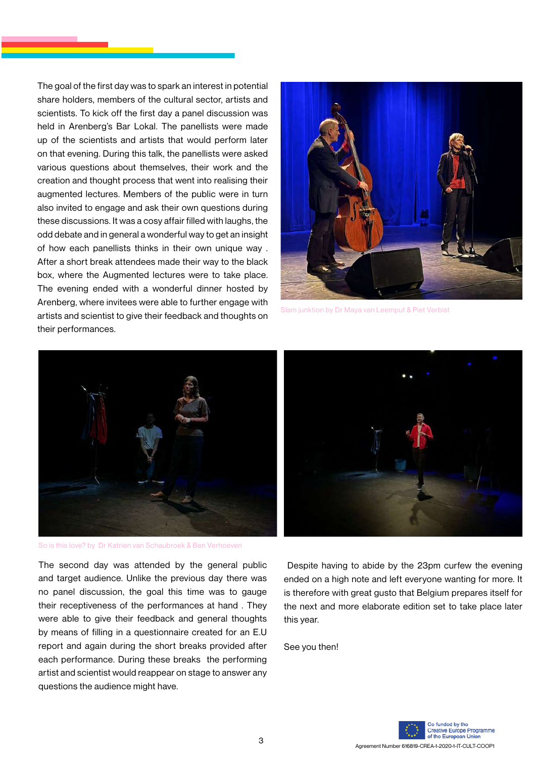The goal of the first day was to spark an interest in potential share holders, members of the cultural sector, artists and scientists. To kick off the first day a panel discussion was held in Arenberg's Bar Lokal. The panellists were made up of the scientists and artists that would perform later on that evening. During this talk, the panellists were asked various questions about themselves, their work and the creation and thought process that went into realising their augmented lectures. Members of the public were in turn also invited to engage and ask their own questions during these discussions. It was a cosy affair filled with laughs, the odd debate and in general a wonderful way to get an insight of how each panellists thinks in their own unique way . After a short break attendees made their way to the black box, where the Augmented lectures were to take place. The evening ended with a wonderful dinner hosted by Arenberg, where invitees were able to further engage with artists and scientist to give their feedback and thoughts on their performances.



Slam junktion by Dr Maya van Leemput & Piet Verbist



So is this love? by Dr Katrien van Schaubroek & Ben Verhoeven

The second day was attended by the general public and target audience. Unlike the previous day there was no panel discussion, the goal this time was to gauge their receptiveness of the performances at hand . They were able to give their feedback and general thoughts by means of filling in a questionnaire created for an E.U report and again during the short breaks provided after each performance. During these breaks the performing artist and scientist would reappear on stage to answer any questions the audience might have.

 Despite having to abide by the 23pm curfew the evening ended on a high note and left everyone wanting for more. It is therefore with great gusto that Belgium prepares itself for the next and more elaborate edition set to take place later this year.

See you then!

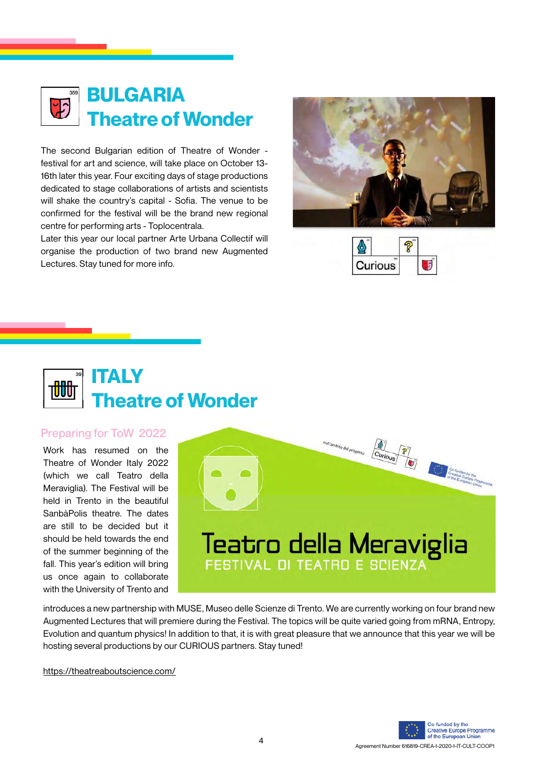

The second Bulgarian edition of Theatre of Wonder festival for art and science, will take place on October 13- 16th later this year. Four exciting days of stage productions dedicated to stage collaborations of artists and scientists will shake the country's capital - Sofia. The venue to be confirmed for the festival will be the brand new regional centre for performing arts - Toplocentrala.

Later this year our local partner Arte Urbana Collectif will organise the production of two brand new Augmented Lectures. Stay tuned for more info.







## Preparing for ToW 2022

Work has resumed on the Theatre of Wonder Italy 2022 (which we call Teatro della Meraviglia). The Festival will be held in Trento in the beautiful SanbàPolis theatre. The dates are still to be decided but it should be held towards the end of the summer beginning of the fall. This year's edition will bring us once again to collaborate with the University of Trento and



introduces a new partnership with MUSE, Museo delle Scienze di Trento. We are currently working on four brand new Augmented Lectures that will premiere during the Festival. The topics will be quite varied going from mRNA, Entropy, Evolution and quantum physics! In addition to that, it is with great pleasure that we announce that this year we will be hosting several productions by our CURIOUS partners. Stay tuned!

<https://theatreaboutscience.com/>